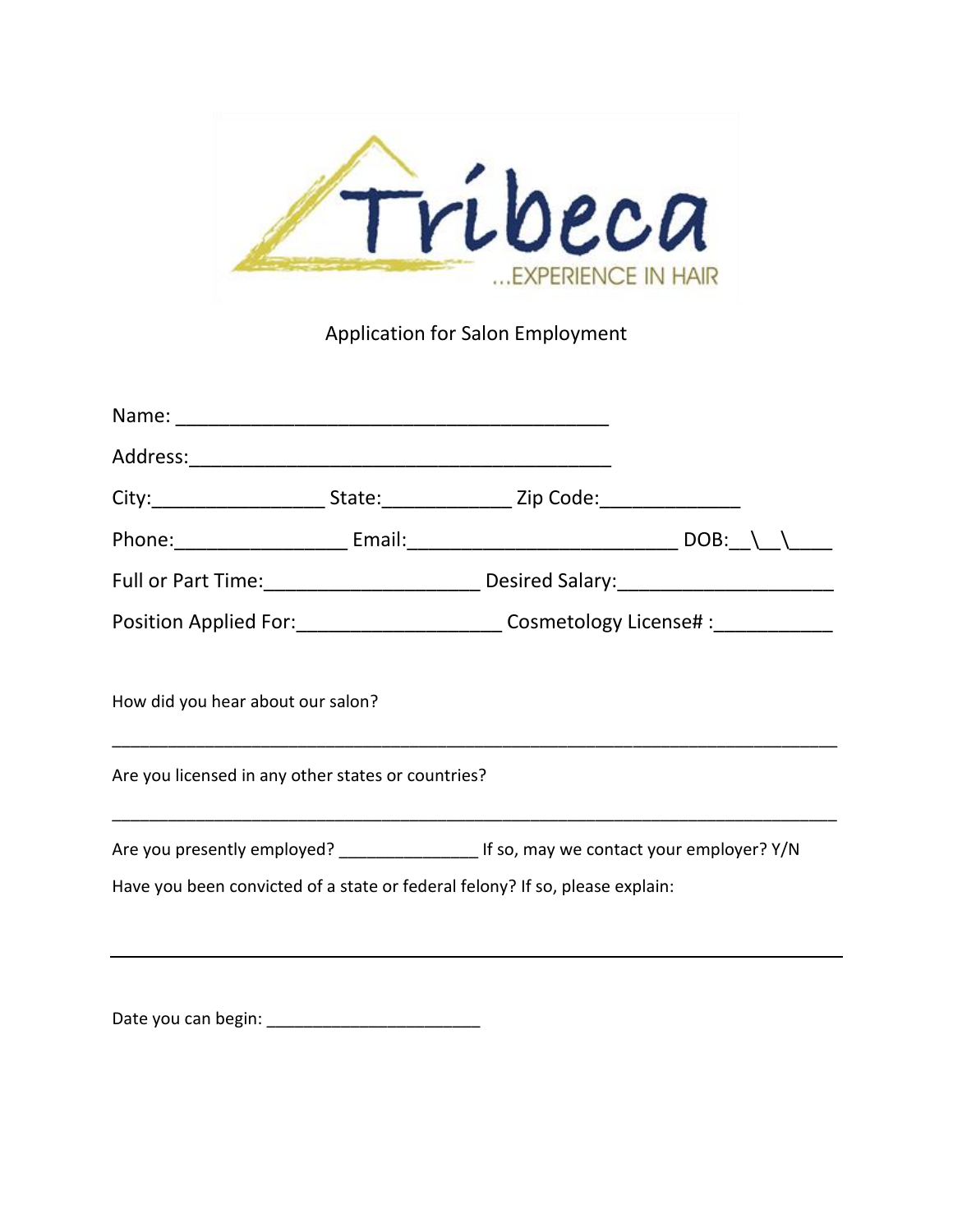

Application for Salon Employment

|                                                                                              |  | Position Applied For:__________________________Cosmetology License# :___________ |  |  |  |  |  |
|----------------------------------------------------------------------------------------------|--|----------------------------------------------------------------------------------|--|--|--|--|--|
| How did you hear about our salon?                                                            |  |                                                                                  |  |  |  |  |  |
| Are you licensed in any other states or countries?                                           |  |                                                                                  |  |  |  |  |  |
| Are you presently employed? _______________________ If so, may we contact your employer? Y/N |  |                                                                                  |  |  |  |  |  |
| Have you been convicted of a state or federal felony? If so, please explain:                 |  |                                                                                  |  |  |  |  |  |
|                                                                                              |  |                                                                                  |  |  |  |  |  |
|                                                                                              |  |                                                                                  |  |  |  |  |  |

Date you can begin: \_\_\_\_\_\_\_\_\_\_\_\_\_\_\_\_\_\_\_\_\_\_\_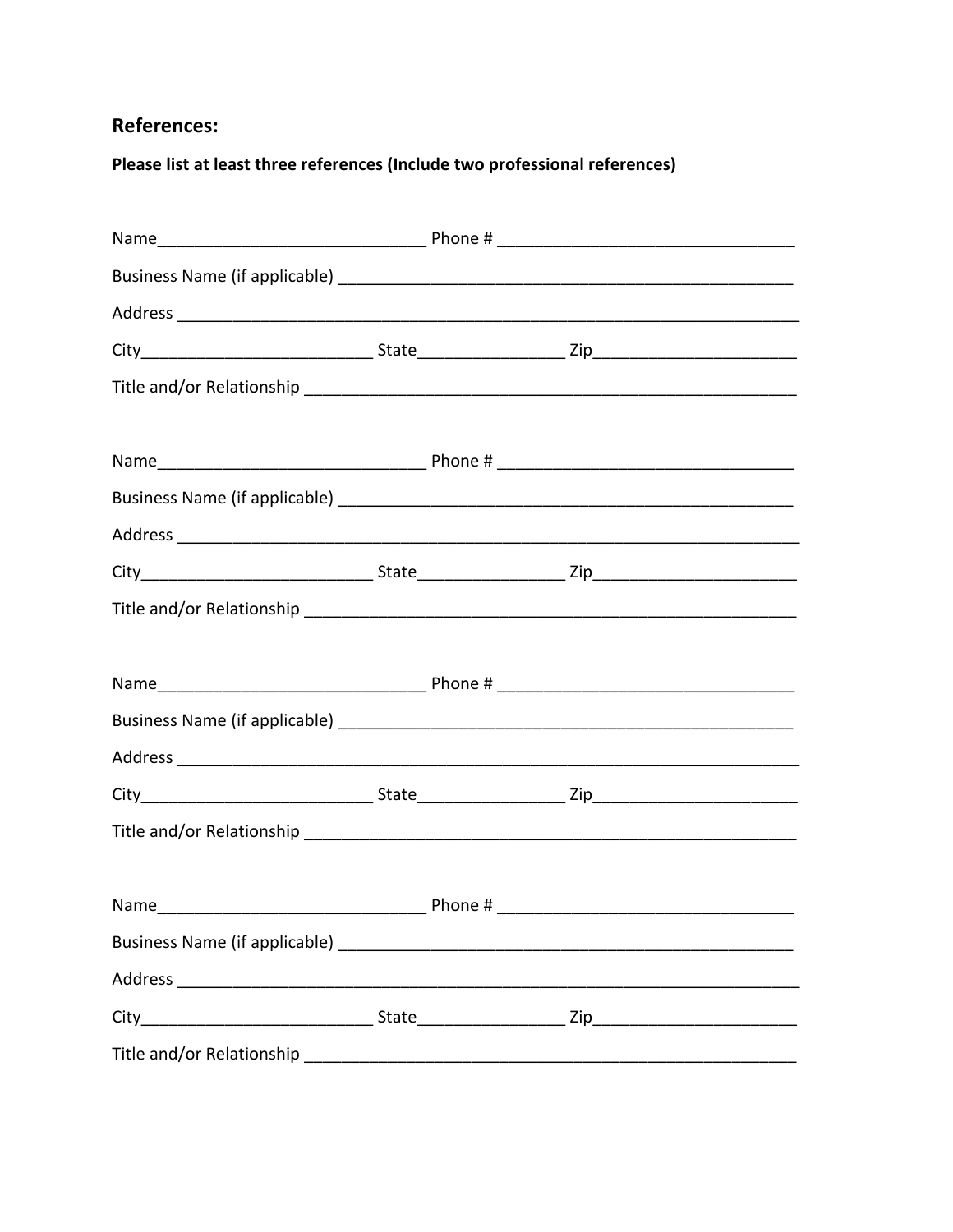## References:

Please list at least three references (Include two professional references)

| Title and/or Relationship |  |
|---------------------------|--|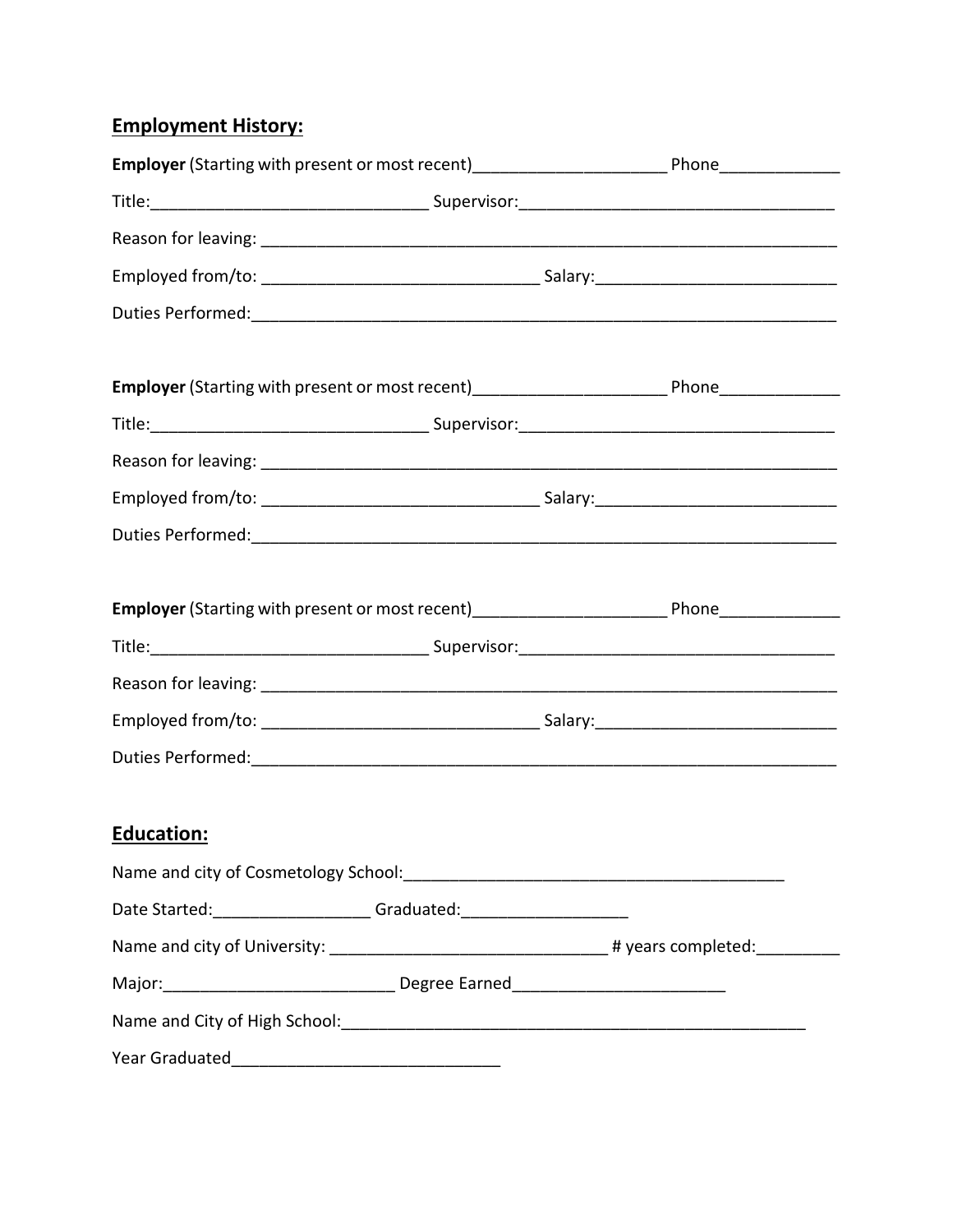## **Employment History:**

| Employer (Starting with present or most recent)________________________________Phone________________ |  |  |                                                                                                      |  |
|------------------------------------------------------------------------------------------------------|--|--|------------------------------------------------------------------------------------------------------|--|
|                                                                                                      |  |  |                                                                                                      |  |
|                                                                                                      |  |  |                                                                                                      |  |
|                                                                                                      |  |  |                                                                                                      |  |
|                                                                                                      |  |  |                                                                                                      |  |
|                                                                                                      |  |  | Employer (Starting with present or most recent)_______________________________Phone________________  |  |
|                                                                                                      |  |  |                                                                                                      |  |
|                                                                                                      |  |  |                                                                                                      |  |
|                                                                                                      |  |  |                                                                                                      |  |
|                                                                                                      |  |  |                                                                                                      |  |
|                                                                                                      |  |  | Employer (Starting with present or most recent)_________________________________ Phone______________ |  |
|                                                                                                      |  |  |                                                                                                      |  |
|                                                                                                      |  |  |                                                                                                      |  |
|                                                                                                      |  |  |                                                                                                      |  |
|                                                                                                      |  |  |                                                                                                      |  |
| <b>Education:</b>                                                                                    |  |  |                                                                                                      |  |
|                                                                                                      |  |  |                                                                                                      |  |
| Date Started: ______________________Graduated: _________________________________                     |  |  |                                                                                                      |  |
|                                                                                                      |  |  |                                                                                                      |  |
|                                                                                                      |  |  |                                                                                                      |  |
|                                                                                                      |  |  |                                                                                                      |  |
|                                                                                                      |  |  |                                                                                                      |  |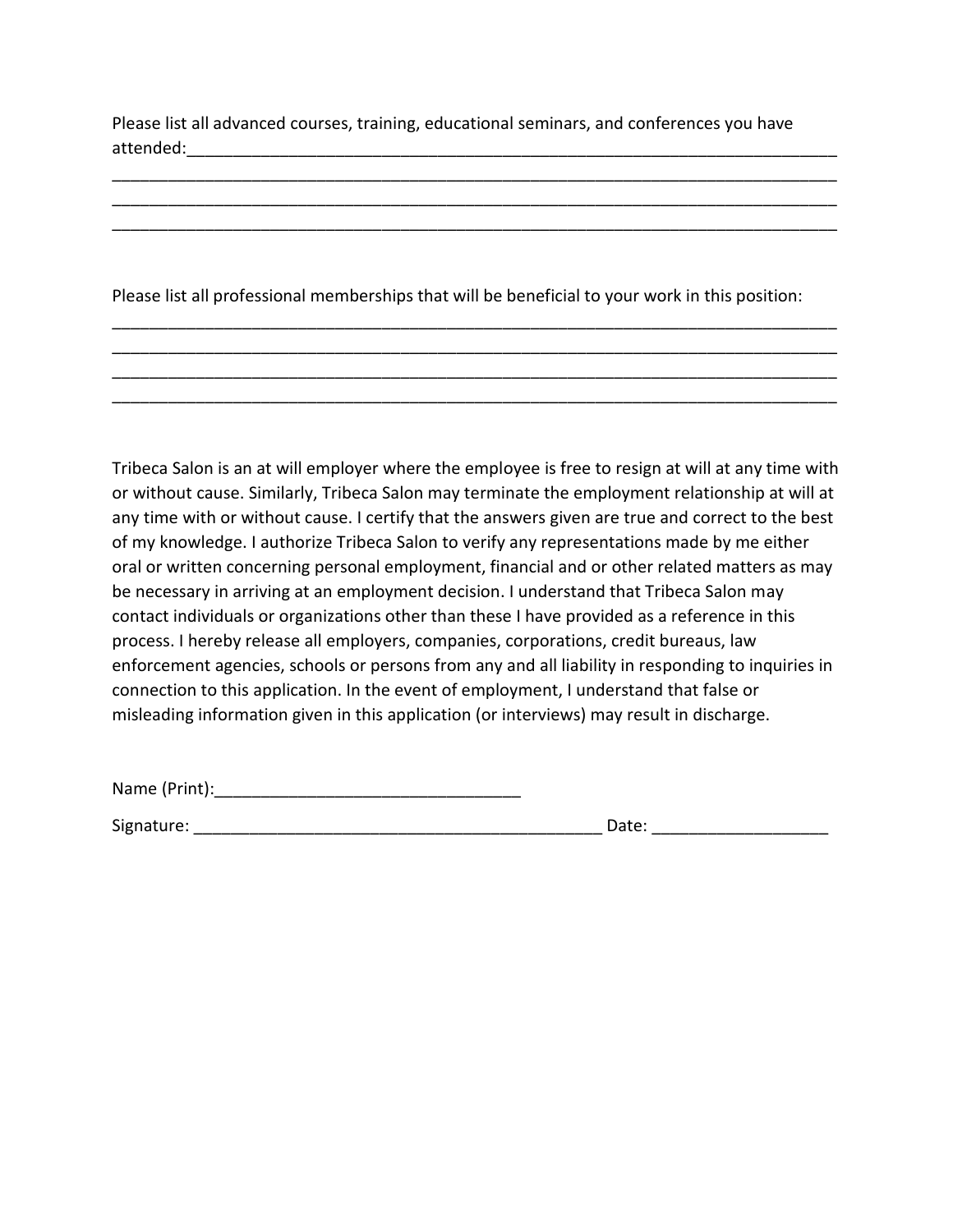Please list all advanced courses, training, educational seminars, and conferences you have attended:\_\_\_\_\_\_\_\_\_\_\_\_\_\_\_\_\_\_\_\_\_\_\_\_\_\_\_\_\_\_\_\_\_\_\_\_\_\_\_\_\_\_\_\_\_\_\_\_\_\_\_\_\_\_\_\_\_\_\_\_\_\_\_\_\_\_\_\_\_\_

\_\_\_\_\_\_\_\_\_\_\_\_\_\_\_\_\_\_\_\_\_\_\_\_\_\_\_\_\_\_\_\_\_\_\_\_\_\_\_\_\_\_\_\_\_\_\_\_\_\_\_\_\_\_\_\_\_\_\_\_\_\_\_\_\_\_\_\_\_\_\_\_\_\_\_\_\_\_ \_\_\_\_\_\_\_\_\_\_\_\_\_\_\_\_\_\_\_\_\_\_\_\_\_\_\_\_\_\_\_\_\_\_\_\_\_\_\_\_\_\_\_\_\_\_\_\_\_\_\_\_\_\_\_\_\_\_\_\_\_\_\_\_\_\_\_\_\_\_\_\_\_\_\_\_\_\_ \_\_\_\_\_\_\_\_\_\_\_\_\_\_\_\_\_\_\_\_\_\_\_\_\_\_\_\_\_\_\_\_\_\_\_\_\_\_\_\_\_\_\_\_\_\_\_\_\_\_\_\_\_\_\_\_\_\_\_\_\_\_\_\_\_\_\_\_\_\_\_\_\_\_\_\_\_\_

Please list all professional memberships that will be beneficial to your work in this position:

\_\_\_\_\_\_\_\_\_\_\_\_\_\_\_\_\_\_\_\_\_\_\_\_\_\_\_\_\_\_\_\_\_\_\_\_\_\_\_\_\_\_\_\_\_\_\_\_\_\_\_\_\_\_\_\_\_\_\_\_\_\_\_\_\_\_\_\_\_\_\_\_\_\_\_\_\_\_ \_\_\_\_\_\_\_\_\_\_\_\_\_\_\_\_\_\_\_\_\_\_\_\_\_\_\_\_\_\_\_\_\_\_\_\_\_\_\_\_\_\_\_\_\_\_\_\_\_\_\_\_\_\_\_\_\_\_\_\_\_\_\_\_\_\_\_\_\_\_\_\_\_\_\_\_\_\_ \_\_\_\_\_\_\_\_\_\_\_\_\_\_\_\_\_\_\_\_\_\_\_\_\_\_\_\_\_\_\_\_\_\_\_\_\_\_\_\_\_\_\_\_\_\_\_\_\_\_\_\_\_\_\_\_\_\_\_\_\_\_\_\_\_\_\_\_\_\_\_\_\_\_\_\_\_\_ \_\_\_\_\_\_\_\_\_\_\_\_\_\_\_\_\_\_\_\_\_\_\_\_\_\_\_\_\_\_\_\_\_\_\_\_\_\_\_\_\_\_\_\_\_\_\_\_\_\_\_\_\_\_\_\_\_\_\_\_\_\_\_\_\_\_\_\_\_\_\_\_\_\_\_\_\_\_

Tribeca Salon is an at will employer where the employee is free to resign at will at any time with or without cause. Similarly, Tribeca Salon may terminate the employment relationship at will at any time with or without cause. I certify that the answers given are true and correct to the best of my knowledge. I authorize Tribeca Salon to verify any representations made by me either oral or written concerning personal employment, financial and or other related matters as may be necessary in arriving at an employment decision. I understand that Tribeca Salon may contact individuals or organizations other than these I have provided as a reference in this process. I hereby release all employers, companies, corporations, credit bureaus, law enforcement agencies, schools or persons from any and all liability in responding to inquiries in connection to this application. In the event of employment, I understand that false or misleading information given in this application (or interviews) may result in discharge.

Name (Print):

Signature: \_\_\_\_\_\_\_\_\_\_\_\_\_\_\_\_\_\_\_\_\_\_\_\_\_\_\_\_\_\_\_\_\_\_\_\_\_\_\_\_\_\_\_\_ Date: \_\_\_\_\_\_\_\_\_\_\_\_\_\_\_\_\_\_\_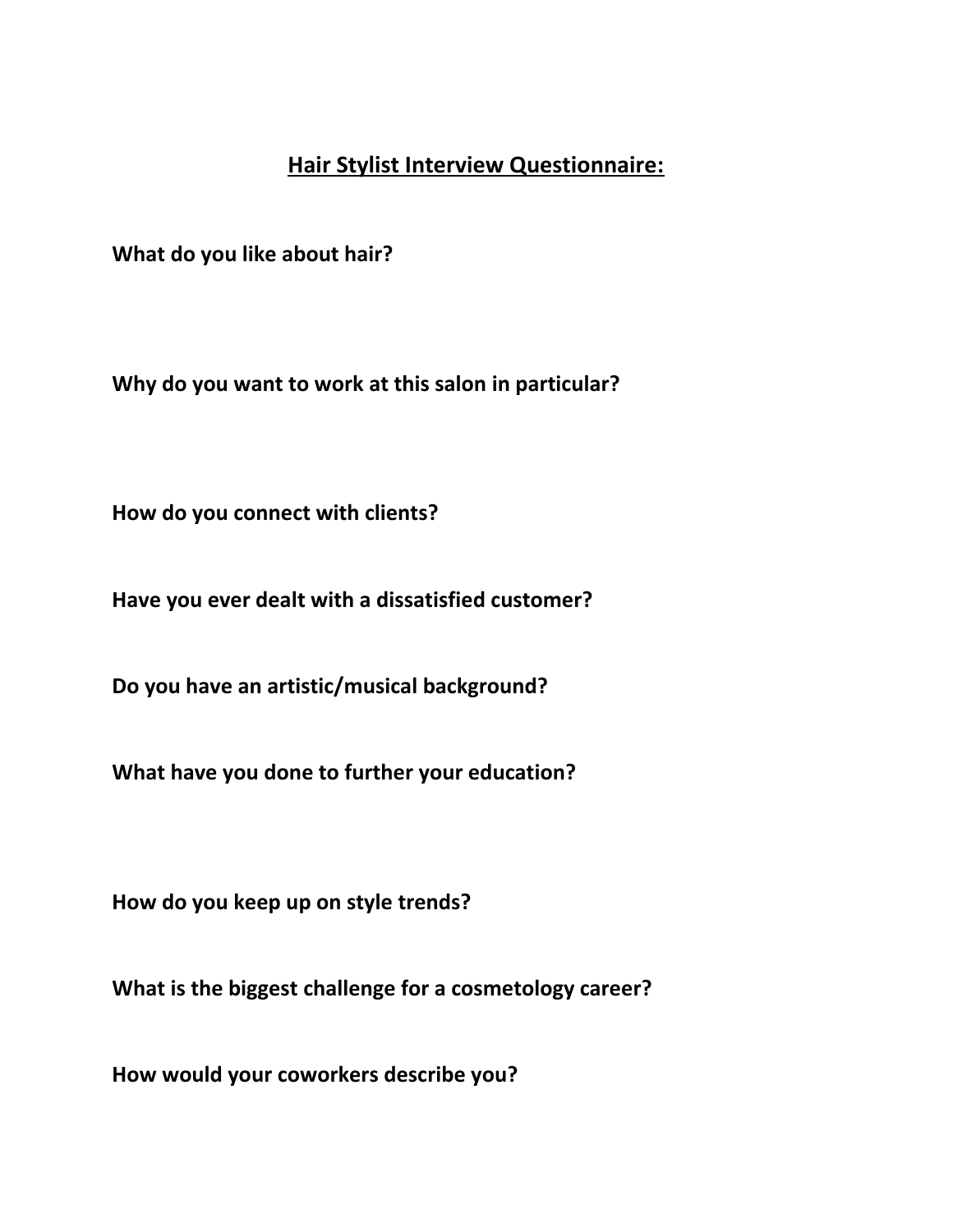## **Hair Stylist Interview Questionnaire:**

**What do you like about hair?**

**Why do you want to work at this salon in particular?**

**How do you connect with clients?**

**Have you ever dealt with a dissatisfied customer?**

**Do you have an artistic/musical background?**

**What have you done to further your education?**

**How do you keep up on style trends?**

**What is the biggest challenge for a cosmetology career?**

**How would your coworkers describe you?**